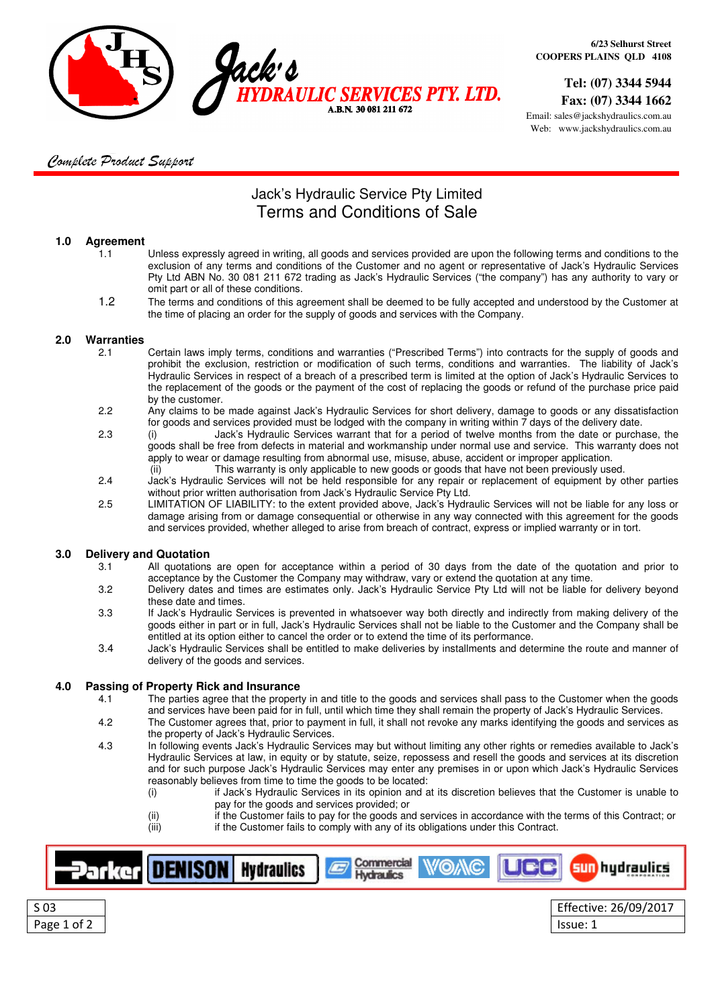

 **Tel: (07) 3344 5944 Fax: (07) 3344 1662**

Email: sales@jackshydraulics.com.au Web: www.jackshydraulics.com.au

### Complete Product Support

## Jack's Hydraulic Service Pty Limited Terms and Conditions of Sale

### **1.0 Agreement**

- 1.1 Unless expressly agreed in writing, all goods and services provided are upon the following terms and conditions to the exclusion of any terms and conditions of the Customer and no agent or representative of Jack's Hydraulic Services Pty Ltd ABN No. 30 081 211 672 trading as Jack's Hydraulic Services ("the company") has any authority to vary or omit part or all of these conditions.
- 1.2 The terms and conditions of this agreement shall be deemed to be fully accepted and understood by the Customer at the time of placing an order for the supply of goods and services with the Company.

### **2.0 Warranties**

- 2.1 Certain laws imply terms, conditions and warranties ("Prescribed Terms") into contracts for the supply of goods and prohibit the exclusion, restriction or modification of such terms, conditions and warranties. The liability of Jack's Hydraulic Services in respect of a breach of a prescribed term is limited at the option of Jack's Hydraulic Services to the replacement of the goods or the payment of the cost of replacing the goods or refund of the purchase price paid by the customer.
- 2.2 Any claims to be made against Jack's Hydraulic Services for short delivery, damage to goods or any dissatisfaction for goods and services provided must be lodged with the company in writing within 7 days of the delivery date.
- 2.3 (i) Jack's Hydraulic Services warrant that for a period of twelve months from the date or purchase, the goods shall be free from defects in material and workmanship under normal use and service. This warranty does not apply to wear or damage resulting from abnormal use, misuse, abuse, accident or improper application.
- (ii) This warranty is only applicable to new goods or goods that have not been previously used.<br>2.4 Jack's Hydraulic Services will not be held responsible for any repair or replacement of equipment by o Jack's Hvdraulic Services will not be held responsible for any repair or replacement of equipment by other parties without prior written authorisation from Jack's Hydraulic Service Pty Ltd.
- 2.5 LIMITATION OF LIABILITY: to the extent provided above, Jack's Hydraulic Services will not be liable for any loss or damage arising from or damage consequential or otherwise in any way connected with this agreement for the goods and services provided, whether alleged to arise from breach of contract, express or implied warranty or in tort.

### **3.0 Delivery and Quotation**

- 3.1 All quotations are open for acceptance within a period of 30 days from the date of the quotation and prior to acceptance by the Customer the Company may withdraw, vary or extend the quotation at any time.
- 3.2 Delivery dates and times are estimates only. Jack's Hydraulic Service Pty Ltd will not be liable for delivery beyond these date and times.
- 3.3 If Jack's Hydraulic Services is prevented in whatsoever way both directly and indirectly from making delivery of the goods either in part or in full, Jack's Hydraulic Services shall not be liable to the Customer and the Company shall be entitled at its option either to cancel the order or to extend the time of its performance.
- 3.4 Jack's Hydraulic Services shall be entitled to make deliveries by installments and determine the route and manner of delivery of the goods and services.

# **4.0 Passing of Property Rick and Insurance**

- The parties agree that the property in and title to the goods and services shall pass to the Customer when the goods and services have been paid for in full, until which time they shall remain the property of Jack's Hydraulic Services.
- 4.2 The Customer agrees that, prior to payment in full, it shall not revoke any marks identifying the goods and services as the property of Jack's Hydraulic Services.
- 4.3 In following events Jack's Hydraulic Services may but without limiting any other rights or remedies available to Jack's Hydraulic Services at law, in equity or by statute, seize, repossess and resell the goods and services at its discretion and for such purpose Jack's Hydraulic Services may enter any premises in or upon which Jack's Hydraulic Services reasonably believes from time to time the goods to be located:
	- (i) if Jack's Hydraulic Services in its opinion and at its discretion believes that the Customer is unable to pay for the goods and services provided; or
	- (ii) if the Customer fails to pay for the goods and services in accordance with the terms of this Contract; or (iii) if the Customer fails to comply with any of its obligations under this Contract.



Page 1 of 2 | Issue: 1